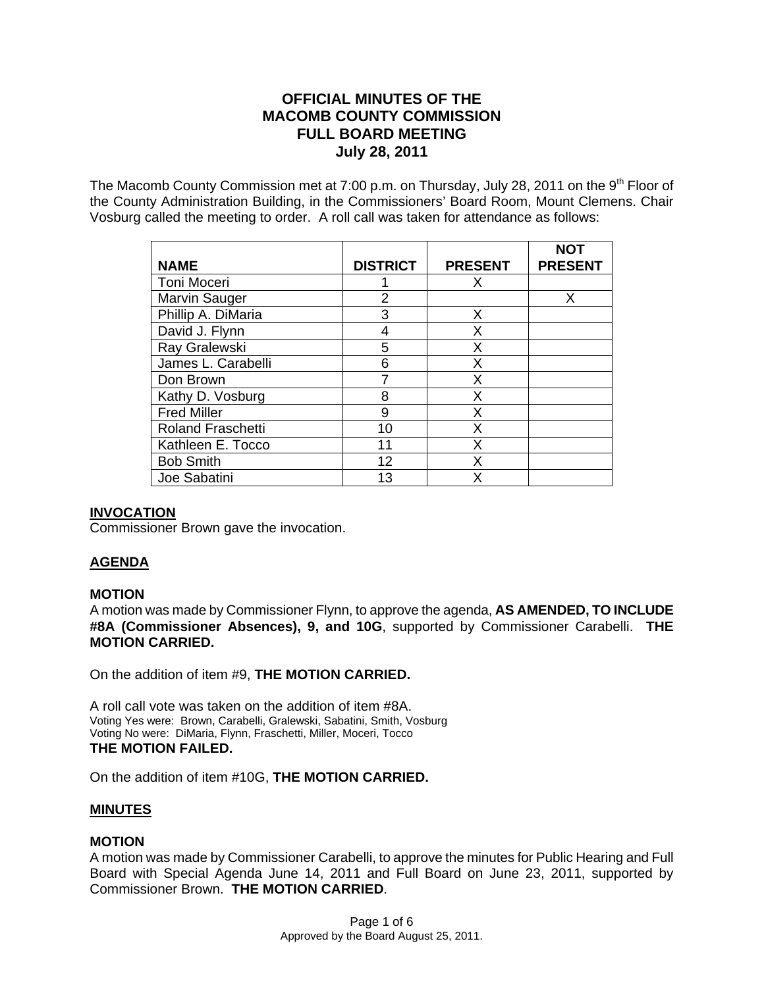# **OFFICIAL MINUTES OF THE MACOMB COUNTY COMMISSION FULL BOARD MEETING July 28, 2011**

The Macomb County Commission met at 7:00 p.m. on Thursday, July 28, 2011 on the  $9<sup>th</sup>$  Floor of the County Administration Building, in the Commissioners' Board Room, Mount Clemens. Chair Vosburg called the meeting to order. A roll call was taken for attendance as follows:

| <b>NAME</b>              | <b>DISTRICT</b> | <b>PRESENT</b> | <b>NOT</b><br><b>PRESENT</b> |
|--------------------------|-----------------|----------------|------------------------------|
| Toni Moceri              |                 | х              |                              |
| Marvin Sauger            | 2               |                | х                            |
| Phillip A. DiMaria       | 3               | Х              |                              |
| David J. Flynn           | 4               | X              |                              |
| Ray Gralewski            | 5               | Χ              |                              |
| James L. Carabelli       | 6               | Χ              |                              |
| Don Brown                |                 | Χ              |                              |
| Kathy D. Vosburg         | 8               | Χ              |                              |
| <b>Fred Miller</b>       | 9               | Χ              |                              |
| <b>Roland Fraschetti</b> | 10              | Χ              |                              |
| Kathleen E. Tocco        | 11              | Χ              |                              |
| <b>Bob Smith</b>         | 12              | x              |                              |
| Joe Sabatini             | 13              | x              |                              |

# **INVOCATION**

Commissioner Brown gave the invocation.

# **AGENDA**

## **MOTION**

A motion was made by Commissioner Flynn, to approve the agenda, **AS AMENDED, TO INCLUDE #8A (Commissioner Absences), 9, and 10G**, supported by Commissioner Carabelli. **THE MOTION CARRIED.** 

On the addition of item #9, **THE MOTION CARRIED.**

A roll call vote was taken on the addition of item #8A. Voting Yes were: Brown, Carabelli, Gralewski, Sabatini, Smith, Vosburg Voting No were: DiMaria, Flynn, Fraschetti, Miller, Moceri, Tocco **THE MOTION FAILED.** 

On the addition of item #10G, **THE MOTION CARRIED.** 

## **MINUTES**

## **MOTION**

A motion was made by Commissioner Carabelli, to approve the minutes for Public Hearing and Full Board with Special Agenda June 14, 2011 and Full Board on June 23, 2011, supported by Commissioner Brown. **THE MOTION CARRIED**.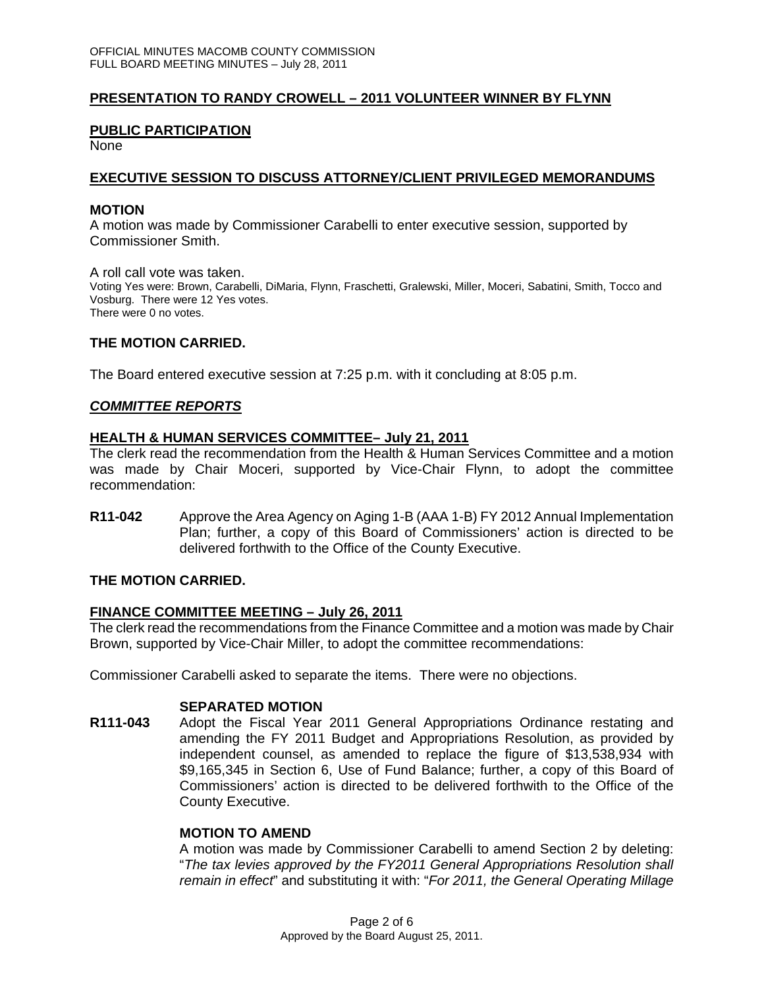# **PRESENTATION TO RANDY CROWELL – 2011 VOLUNTEER WINNER BY FLYNN**

# **PUBLIC PARTICIPATION**

None

# **EXECUTIVE SESSION TO DISCUSS ATTORNEY/CLIENT PRIVILEGED MEMORANDUMS**

#### **MOTION**

A motion was made by Commissioner Carabelli to enter executive session, supported by Commissioner Smith.

A roll call vote was taken. Voting Yes were: Brown, Carabelli, DiMaria, Flynn, Fraschetti, Gralewski, Miller, Moceri, Sabatini, Smith, Tocco and Vosburg. There were 12 Yes votes. There were 0 no votes.

# **THE MOTION CARRIED.**

The Board entered executive session at 7:25 p.m. with it concluding at 8:05 p.m.

# *COMMITTEE REPORTS*

## **HEALTH & HUMAN SERVICES COMMITTEE– July 21, 2011**

The clerk read the recommendation from the Health & Human Services Committee and a motion was made by Chair Moceri, supported by Vice-Chair Flynn, to adopt the committee recommendation:

**R11-042** Approve the Area Agency on Aging 1-B (AAA 1-B) FY 2012 Annual Implementation Plan; further, a copy of this Board of Commissioners' action is directed to be delivered forthwith to the Office of the County Executive.

## **THE MOTION CARRIED.**

## **FINANCE COMMITTEE MEETING – July 26, 2011**

The clerk read the recommendations from the Finance Committee and a motion was made by Chair Brown, supported by Vice-Chair Miller, to adopt the committee recommendations:

Commissioner Carabelli asked to separate the items. There were no objections.

## **SEPARATED MOTION**

**R111-043** Adopt the Fiscal Year 2011 General Appropriations Ordinance restating and amending the FY 2011 Budget and Appropriations Resolution, as provided by independent counsel, as amended to replace the figure of \$13,538,934 with \$9,165,345 in Section 6, Use of Fund Balance; further, a copy of this Board of Commissioners' action is directed to be delivered forthwith to the Office of the County Executive.

## **MOTION TO AMEND**

A motion was made by Commissioner Carabelli to amend Section 2 by deleting: "*The tax levies approved by the FY2011 General Appropriations Resolution shall remain in effect*" and substituting it with: "*For 2011, the General Operating Millage*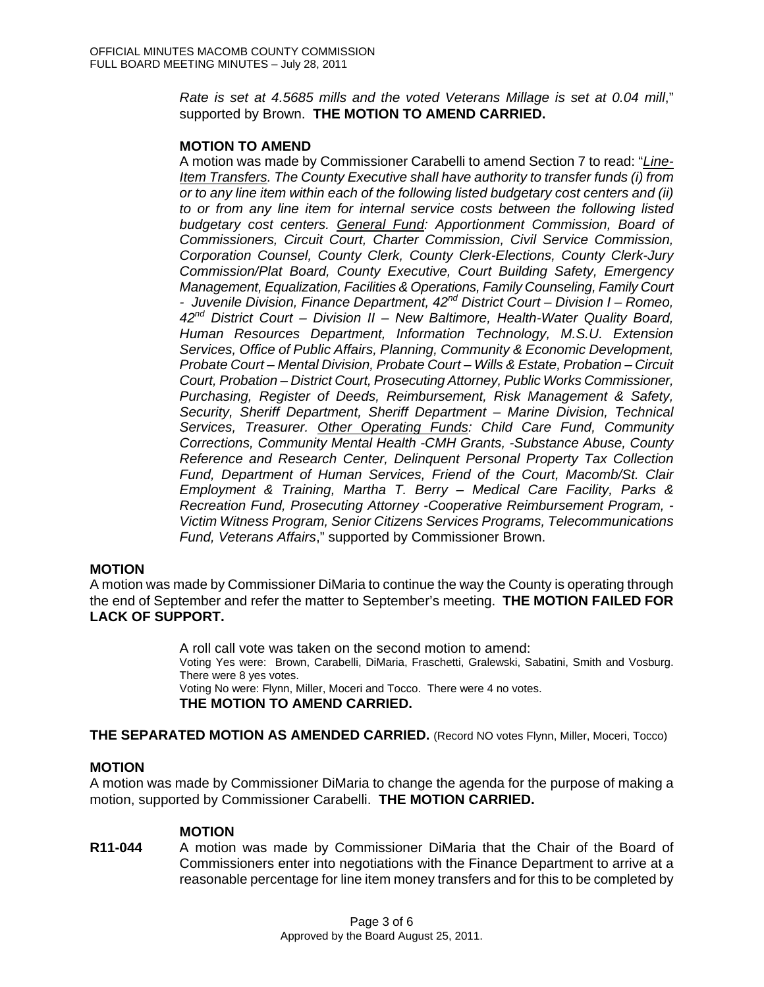*Rate is set at 4.5685 mills and the voted Veterans Millage is set at 0.04 mill*," supported by Brown. **THE MOTION TO AMEND CARRIED.** 

## **MOTION TO AMEND**

A motion was made by Commissioner Carabelli to amend Section 7 to read: "*Line-Item Transfers. The County Executive shall have authority to transfer funds (i) from or to any line item within each of the following listed budgetary cost centers and (ii) to or from any line item for internal service costs between the following listed budgetary cost centers. General Fund: Apportionment Commission, Board of Commissioners, Circuit Court, Charter Commission, Civil Service Commission, Corporation Counsel, County Clerk, County Clerk-Elections, County Clerk-Jury Commission/Plat Board, County Executive, Court Building Safety, Emergency Management, Equalization, Facilities & Operations, Family Counseling, Family Court - Juvenile Division, Finance Department, 42nd District Court – Division I – Romeo, 42nd District Court – Division II – New Baltimore, Health-Water Quality Board, Human Resources Department, Information Technology, M.S.U. Extension Services, Office of Public Affairs, Planning, Community & Economic Development, Probate Court – Mental Division, Probate Court – Wills & Estate, Probation – Circuit Court, Probation – District Court, Prosecuting Attorney, Public Works Commissioner, Purchasing, Register of Deeds, Reimbursement, Risk Management & Safety, Security, Sheriff Department, Sheriff Department – Marine Division, Technical Services, Treasurer. Other Operating Funds: Child Care Fund, Community Corrections, Community Mental Health -CMH Grants, -Substance Abuse, County Reference and Research Center, Delinquent Personal Property Tax Collection Fund, Department of Human Services, Friend of the Court, Macomb/St. Clair Employment & Training, Martha T. Berry – Medical Care Facility, Parks & Recreation Fund, Prosecuting Attorney -Cooperative Reimbursement Program, - Victim Witness Program, Senior Citizens Services Programs, Telecommunications Fund, Veterans Affairs*," supported by Commissioner Brown.

#### **MOTION**

A motion was made by Commissioner DiMaria to continue the way the County is operating through the end of September and refer the matter to September's meeting. **THE MOTION FAILED FOR LACK OF SUPPORT.** 

> A roll call vote was taken on the second motion to amend: Voting Yes were: Brown, Carabelli, DiMaria, Fraschetti, Gralewski, Sabatini, Smith and Vosburg. There were 8 yes votes. Voting No were: Flynn, Miller, Moceri and Tocco. There were 4 no votes. **THE MOTION TO AMEND CARRIED.**

**THE SEPARATED MOTION AS AMENDED CARRIED.** (Record NO votes Flynn, Miller, Moceri, Tocco)

## **MOTION**

A motion was made by Commissioner DiMaria to change the agenda for the purpose of making a motion, supported by Commissioner Carabelli. **THE MOTION CARRIED.** 

#### **MOTION**

**R11-044** A motion was made by Commissioner DiMaria that the Chair of the Board of Commissioners enter into negotiations with the Finance Department to arrive at a reasonable percentage for line item money transfers and for this to be completed by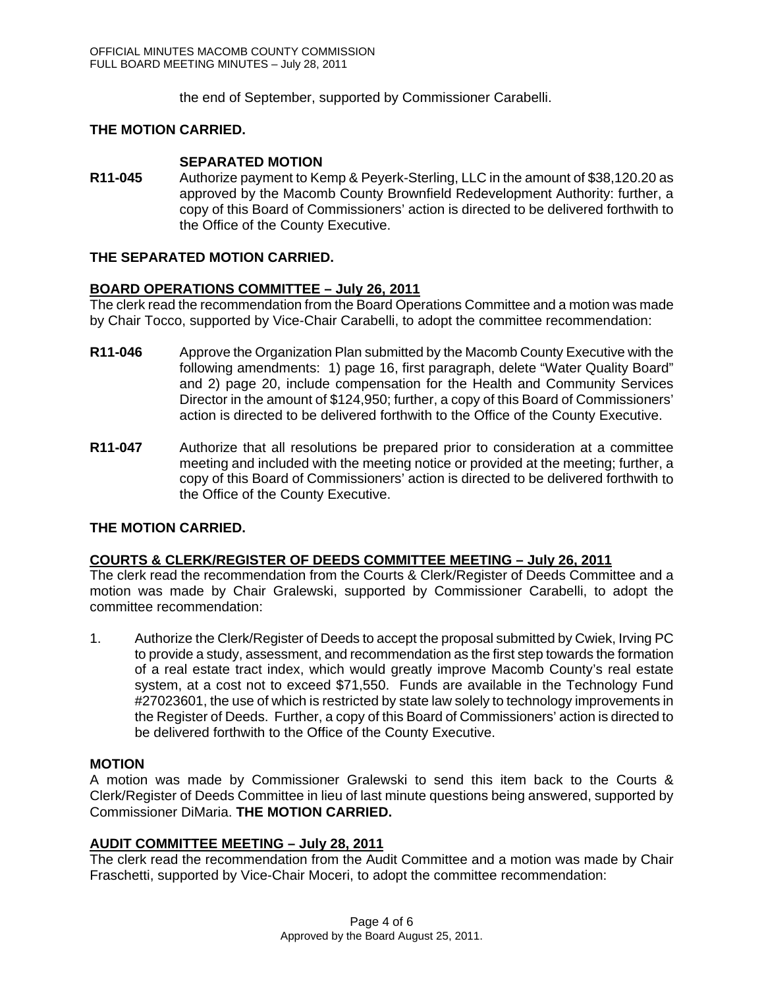the end of September, supported by Commissioner Carabelli.

# **THE MOTION CARRIED.**

# **SEPARATED MOTION**

**R11-045** Authorize payment to Kemp & Peyerk-Sterling, LLC in the amount of \$38,120.20 as approved by the Macomb County Brownfield Redevelopment Authority: further, a copy of this Board of Commissioners' action is directed to be delivered forthwith to the Office of the County Executive.

# **THE SEPARATED MOTION CARRIED.**

# **BOARD OPERATIONS COMMITTEE – July 26, 2011**

The clerk read the recommendation from the Board Operations Committee and a motion was made by Chair Tocco, supported by Vice-Chair Carabelli, to adopt the committee recommendation:

- **R11-046** Approve the Organization Plan submitted by the Macomb County Executive with the following amendments: 1) page 16, first paragraph, delete "Water Quality Board" and 2) page 20, include compensation for the Health and Community Services Director in the amount of \$124,950; further, a copy of this Board of Commissioners' action is directed to be delivered forthwith to the Office of the County Executive.
- **R11-047** Authorize that all resolutions be prepared prior to consideration at a committee meeting and included with the meeting notice or provided at the meeting; further, a copy of this Board of Commissioners' action is directed to be delivered forthwith to the Office of the County Executive.

# **THE MOTION CARRIED.**

# **COURTS & CLERK/REGISTER OF DEEDS COMMITTEE MEETING – July 26, 2011**

The clerk read the recommendation from the Courts & Clerk/Register of Deeds Committee and a motion was made by Chair Gralewski, supported by Commissioner Carabelli, to adopt the committee recommendation:

1. Authorize the Clerk/Register of Deeds to accept the proposal submitted by Cwiek, Irving PC to provide a study, assessment, and recommendation as the first step towards the formation of a real estate tract index, which would greatly improve Macomb County's real estate system, at a cost not to exceed \$71,550. Funds are available in the Technology Fund #27023601, the use of which is restricted by state law solely to technology improvements in the Register of Deeds. Further, a copy of this Board of Commissioners' action is directed to be delivered forthwith to the Office of the County Executive.

## **MOTION**

A motion was made by Commissioner Gralewski to send this item back to the Courts & Clerk/Register of Deeds Committee in lieu of last minute questions being answered, supported by Commissioner DiMaria. **THE MOTION CARRIED.** 

## **AUDIT COMMITTEE MEETING – July 28, 2011**

The clerk read the recommendation from the Audit Committee and a motion was made by Chair Fraschetti, supported by Vice-Chair Moceri, to adopt the committee recommendation: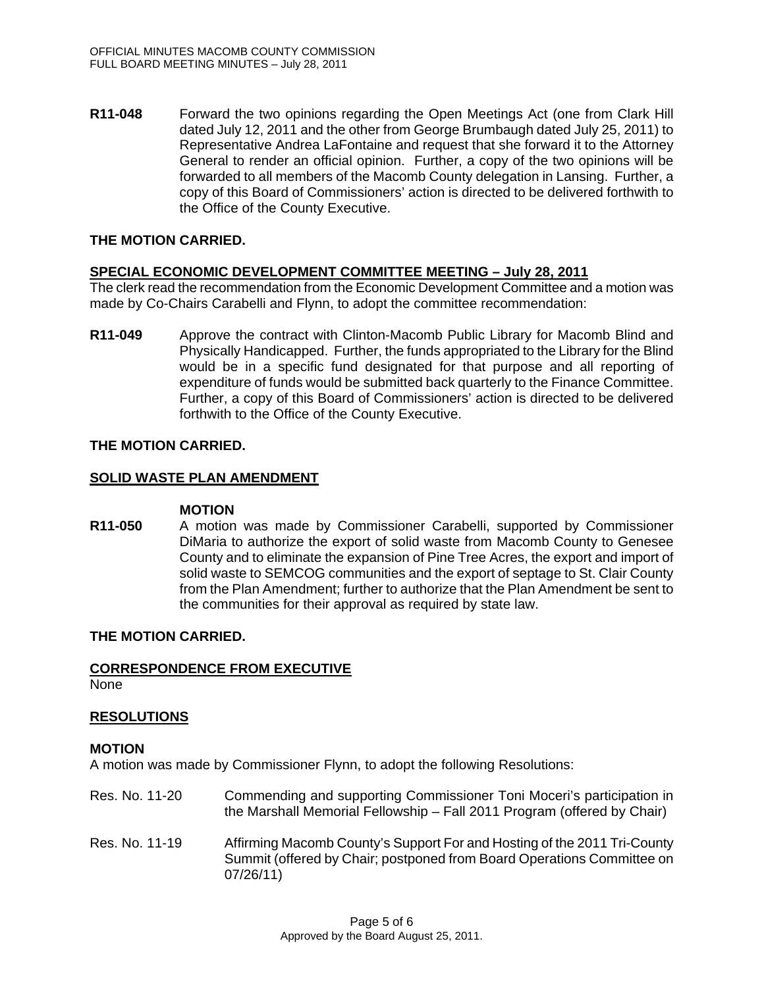**R11-048** Forward the two opinions regarding the Open Meetings Act (one from Clark Hill dated July 12, 2011 and the other from George Brumbaugh dated July 25, 2011) to Representative Andrea LaFontaine and request that she forward it to the Attorney General to render an official opinion. Further, a copy of the two opinions will be forwarded to all members of the Macomb County delegation in Lansing. Further, a copy of this Board of Commissioners' action is directed to be delivered forthwith to the Office of the County Executive.

# **THE MOTION CARRIED.**

# **SPECIAL ECONOMIC DEVELOPMENT COMMITTEE MEETING – July 28, 2011**

The clerk read the recommendation from the Economic Development Committee and a motion was made by Co-Chairs Carabelli and Flynn, to adopt the committee recommendation:

**R11-049** Approve the contract with Clinton-Macomb Public Library for Macomb Blind and Physically Handicapped. Further, the funds appropriated to the Library for the Blind would be in a specific fund designated for that purpose and all reporting of expenditure of funds would be submitted back quarterly to the Finance Committee. Further, a copy of this Board of Commissioners' action is directed to be delivered forthwith to the Office of the County Executive.

# **THE MOTION CARRIED.**

# **SOLID WASTE PLAN AMENDMENT**

## **MOTION**

**R11-050** A motion was made by Commissioner Carabelli, supported by Commissioner DiMaria to authorize the export of solid waste from Macomb County to Genesee County and to eliminate the expansion of Pine Tree Acres, the export and import of solid waste to SEMCOG communities and the export of septage to St. Clair County from the Plan Amendment; further to authorize that the Plan Amendment be sent to the communities for their approval as required by state law.

# **THE MOTION CARRIED.**

## **CORRESPONDENCE FROM EXECUTIVE**

None

## **RESOLUTIONS**

## **MOTION**

A motion was made by Commissioner Flynn, to adopt the following Resolutions:

- Res. No. 11-20 Commending and supporting Commissioner Toni Moceri's participation in the Marshall Memorial Fellowship – Fall 2011 Program (offered by Chair)
- Res. No. 11-19 Affirming Macomb County's Support For and Hosting of the 2011 Tri-County Summit (offered by Chair; postponed from Board Operations Committee on 07/26/11)